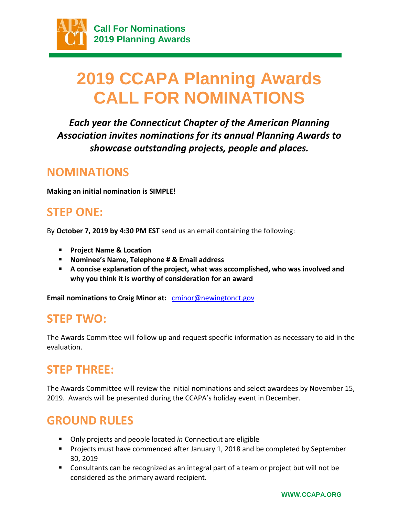

# **2019 CCAPA Planning Awards CALL FOR NOMINATIONS**

*Each year the Connecticut Chapter of the American Planning Association invites nominations for its annual Planning Awards to showcase outstanding projects, people and places.*

### **NOMINATIONS**

**Making an initial nomination is SIMPLE!**

# **STEP ONE:**

By **October 7, 2019 by 4:30 PM EST** send us an email containing the following:

- **Project Name & Location**
- **Nominee's Name, Telephone # & Email address**
- **A concise explanation of the project, what was accomplished, who was involved and why you think it is worthy of consideration for an award**

**Email nominations to Craig Minor at:** cminor@newingtonct.gov

### **STEP TWO:**

The Awards Committee will follow up and request specific information as necessary to aid in the evaluation.

# **STEP THREE:**

The Awards Committee will review the initial nominations and select awardees by November 15, 2019. Awards will be presented during the CCAPA's holiday event in December.

# **GROUND RULES**

- Only projects and people located *in* Connecticut are eligible
- **Projects must have commenced after January 1, 2018 and be completed by September** 30, 2019
- **Consultants can be recognized as an integral part of a team or project but will not be** considered as the primary award recipient.